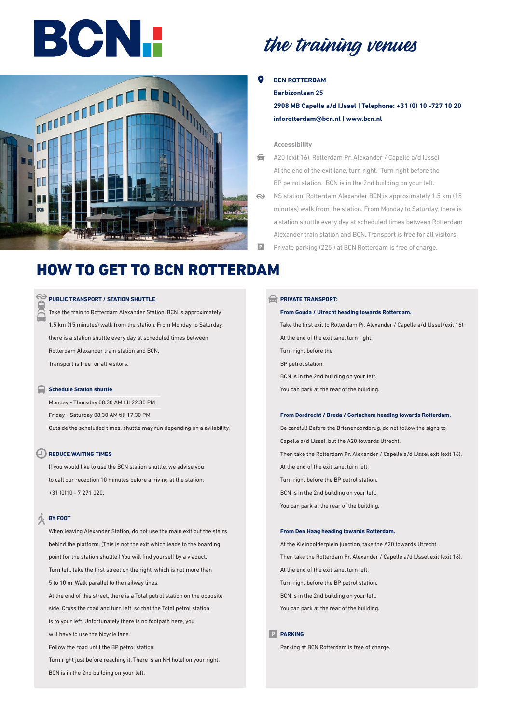# BCNI



## the training venues

#### **BCN ROTTERDAM**

**Barbizonlaan 25** 

**2908 MB Capelle a/d IJssel | Telephone: +31 (0) 10 -727 10 20 inforotterdam@bcn.nl | www.bcn.nl**

#### **Accessibility**

- A20 (exit 16), Rotterdam Pr. Alexander / Capelle a/d IJssel  $\Rightarrow$ At the end of the exit lane, turn right. Turn right before the BP petrol station. BCN is in the 2nd building on your left.
- NS station: Rotterdam Alexander BCN is approximately 1.5 km (15  $\leftrightarrow$ minutes) walk from the station. From Monday to Saturday, there is a station shuttle every day at scheduled times between Rotterdam Alexander train station and BCN. Transport is free for all visitors.
	- Private parking (225 ) at BCN Rotterdam is free of charge.

### HOW TO GET TO BCN ROTTERDAM

#### PUBLIC TRANSPORT / STATION SHUTTLE

Take the train to Rotterdam Alexander Station. BCN is approximately 1.5 km (15 minutes) walk from the station. From Monday to Saturday, there is a station shuttle every day at scheduled times between Rotterdam Alexander train station and BCN. Transport is free for all visitors.

#### **Schedule Station shuttle**

Monday - Thursday 08.30 AM till 22.30 PM Friday - Saturday 08.30 AM till 17.30 PM Outside the scheluded times, shuttle may run depending on a avilability.

#### **REDUCE WAITING TIMES**

If you would like to use the BCN station shuttle, we advise you to call our reception 10 minutes before arriving at the station: +31 (0)10 - 7 271 020.

#### Ă. **BY FOOT**

When leaving Alexander Station, do not use the main exit but the stairs behind the platform. (This is not the exit which leads to the boarding point for the station shuttle.) You will find yourself by a viaduct. Turn left, take the first street on the right, which is not more than 5 to 10 m. Walk parallel to the railway lines. At the end of this street, there is a Total petrol station on the opposite side. Cross the road and turn left, so that the Total petrol station is to your left. Unfortunately there is no footpath here, you will have to use the bicycle lane.

Follow the road until the BP petrol station.

Turn right just before reaching it. There is an NH hotel on your right. BCN is in the 2nd building on your left.

#### **PRIVATE TRANSPORT:**

**From Gouda / Utrecht heading towards Rotterdam.** Take the first exit to Rotterdam Pr. Alexander / Capelle a/d IJssel (exit 16). At the end of the exit lane, turn right. Turn right before the BP petrol station. BCN is in the 2nd building on your left. You can park at the rear of the building.

#### **From Dordrecht / Breda / Gorinchem heading towards Rotterdam.**

Be careful! Before the Brienenoordbrug, do not follow the signs to Capelle a/d IJssel, but the A20 towards Utrecht. Then take the Rotterdam Pr. Alexander / Capelle a/d IJssel exit (exit 16). At the end of the exit lane, turn left. Turn right before the BP petrol station. BCN is in the 2nd building on your left. You can park at the rear of the building.

#### **From Den Haag heading towards Rotterdam.**

At the Kleinpolderplein junction, take the A20 towards Utrecht. Then take the Rotterdam Pr. Alexander / Capelle a/d IJssel exit (exit 16). At the end of the exit lane, turn left. Turn right before the BP petrol station. BCN is in the 2nd building on your left. You can park at the rear of the building.

#### **PARKING**

Parking at BCN Rotterdam is free of charge.